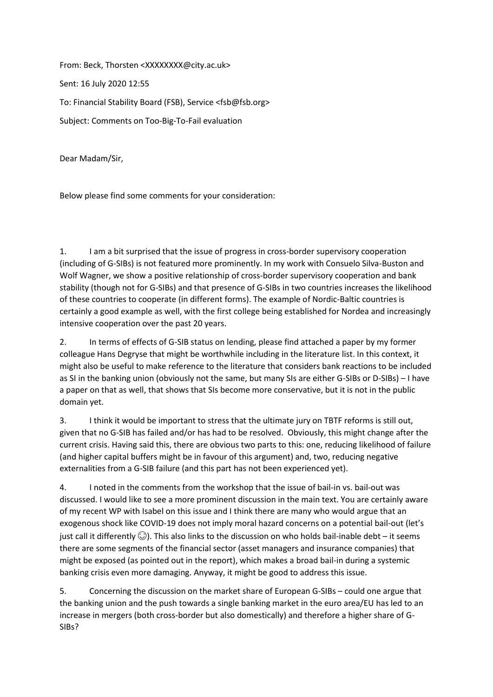From: Beck, Thorsten <XXXXXXXX@city.ac.uk> Sent: 16 July 2020 12:55 To: Financial Stability Board (FSB), Service <fsb@fsb.org> Subject: Comments on Too-Big-To-Fail evaluation

Dear Madam/Sir,

Below please find some comments for your consideration:

1. I am a bit surprised that the issue of progress in cross-border supervisory cooperation (including of G-SIBs) is not featured more prominently. In my work with Consuelo Silva-Buston and Wolf Wagner, we show a positive relationship of cross-border supervisory cooperation and bank stability (though not for G-SIBs) and that presence of G-SIBs in two countries increases the likelihood of these countries to cooperate (in different forms). The example of Nordic-Baltic countries is certainly a good example as well, with the first college being established for Nordea and increasingly intensive cooperation over the past 20 years.

2. In terms of effects of G-SIB status on lending, please find attached a paper by my former colleague Hans Degryse that might be worthwhile including in the literature list. In this context, it might also be useful to make reference to the literature that considers bank reactions to be included as SI in the banking union (obviously not the same, but many SIs are either G-SIBs or D-SIBs) – I have a paper on that as well, that shows that SIs become more conservative, but it is not in the public domain yet.

3. I think it would be important to stress that the ultimate jury on TBTF reforms is still out, given that no G-SIB has failed and/or has had to be resolved. Obviously, this might change after the current crisis. Having said this, there are obvious two parts to this: one, reducing likelihood of failure (and higher capital buffers might be in favour of this argument) and, two, reducing negative externalities from a G-SIB failure (and this part has not been experienced yet).

4. I noted in the comments from the workshop that the issue of bail-in vs. bail-out was discussed. I would like to see a more prominent discussion in the main text. You are certainly aware of my recent WP with Isabel on this issue and I think there are many who would argue that an exogenous shock like COVID-19 does not imply moral hazard concerns on a potential bail-out (let's just call it differently  $\mathbb{Q}$ ). This also links to the discussion on who holds bail-inable debt – it seems there are some segments of the financial sector (asset managers and insurance companies) that might be exposed (as pointed out in the report), which makes a broad bail-in during a systemic banking crisis even more damaging. Anyway, it might be good to address this issue.

5. Concerning the discussion on the market share of European G-SIBs – could one argue that the banking union and the push towards a single banking market in the euro area/EU has led to an increase in mergers (both cross-border but also domestically) and therefore a higher share of G-SIBs?